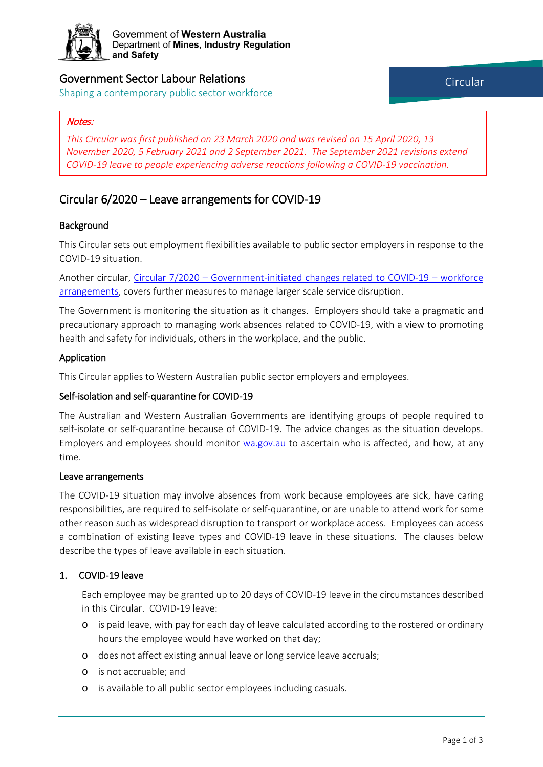

Government of Western Australia Department of Mines, Industry Regulation and Safety

# Government Sector Labour Relations

Shaping a contemporary public sector workforce

*This Circular was first published on 23 March 2020 and was revised on 15 April 2020, 13 November 2020, 5 February 2021 and 2 September 2021. The September 2021 revisions extend COVID-19 leave to people experiencing adverse reactions following a COVID-19 vaccination.*

# Circular 6/2020 – Leave arrangements for COVID-19

# **Background**

This Circular sets out employment flexibilities available to public sector employers in response to the COVID-19 situation.

Another circular, Circular 7/2020 – [Government-initiated changes related to COVID-19 –](https://www.commerce.wa.gov.au/sites/default/files/atoms/files/pslr_circular_07_2020.pdf) workforce [arrangements,](https://www.commerce.wa.gov.au/sites/default/files/atoms/files/pslr_circular_07_2020.pdf) covers further measures to manage larger scale service disruption.

The Government is monitoring the situation as it changes. Employers should take a pragmatic and precautionary approach to managing work absences related to COVID-19, with a view to promoting health and safety for individuals, others in the workplace, and the public.

## Application

This Circular applies to Western Australian public sector employers and employees.

## Self-isolation and self-quarantine for COVID-19

The Australian and Western Australian Governments are identifying groups of people required to self-isolate or self-quarantine because of COVID-19. The advice changes as the situation develops. Employers and employees should monitor [wa.gov.au](https://www.wa.gov.au/government/coronavirus-covid-19) to ascertain who is affected, and how, at any time.

#### Leave arrangements

The COVID-19 situation may involve absences from work because employees are sick, have caring responsibilities, are required to self-isolate or self-quarantine, or are unable to attend work for some other reason such as widespread disruption to transport or workplace access. Employees can access a combination of existing leave types and COVID-19 leave in these situations. The clauses below describe the types of leave available in each situation.

## 1. COVID-19 leave

Each employee may be granted up to 20 days of COVID-19 leave in the circumstances described in this Circular. COVID-19 leave:

- o is paid leave, with pay for each day of leave calculated according to the rostered or ordinary hours the employee would have worked on that day;
- o does not affect existing annual leave or long service leave accruals;
- o is not accruable; and
- o is available to all public sector employees including casuals.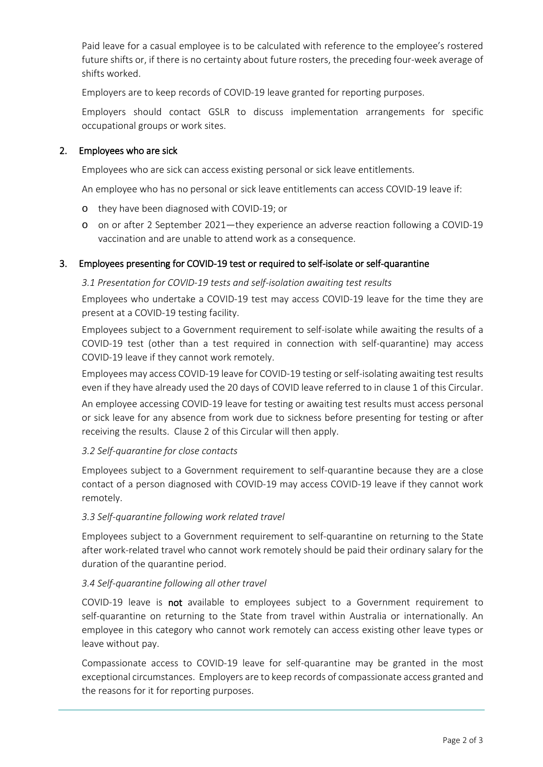Paid leave for a casual employee is to be calculated with reference to the employee's rostered future shifts or, if there is no certainty about future rosters, the preceding four-week average of shifts worked.

Employers are to keep records of COVID-19 leave granted for reporting purposes.

Employers should contact GSLR to discuss implementation arrangements for specific occupational groups or work sites.

## 2. Employees who are sick

Employees who are sick can access existing personal or sick leave entitlements.

An employee who has no personal or sick leave entitlements can access COVID-19 leave if:

- o they have been diagnosed with COVID-19; or
- o on or after 2 September 2021—they experience an adverse reaction following a COVID-19 vaccination and are unable to attend work as a consequence.

## 3. Employees presenting for COVID-19 test or required to self-isolate or self-quarantine

#### *3.1 Presentation for COVID-19 tests and self-isolation awaiting test results*

Employees who undertake a COVID-19 test may access COVID-19 leave for the time they are present at a COVID-19 testing facility.

Employees subject to a Government requirement to self-isolate while awaiting the results of a COVID-19 test (other than a test required in connection with self-quarantine) may access COVID-19 leave if they cannot work remotely.

Employees may access COVID-19 leave for COVID-19 testing or self-isolating awaiting test results even if they have already used the 20 days of COVID leave referred to in clause 1 of this Circular.

An employee accessing COVID-19 leave for testing or awaiting test results must access personal or sick leave for any absence from work due to sickness before presenting for testing or after receiving the results. Clause 2 of this Circular will then apply.

## *3.2 Self-quarantine for close contacts*

Employees subject to a Government requirement to self-quarantine because they are a close contact of a person diagnosed with COVID-19 may access COVID-19 leave if they cannot work remotely.

## *3.3 Self-quarantine following work related travel*

Employees subject to a Government requirement to self-quarantine on returning to the State after work-related travel who cannot work remotely should be paid their ordinary salary for the duration of the quarantine period.

## *3.4 Self-quarantine following all other travel*

COVID-19 leave is not available to employees subject to a Government requirement to self-quarantine on returning to the State from travel within Australia or internationally. An employee in this category who cannot work remotely can access existing other leave types or leave without pay.

Compassionate access to COVID-19 leave for self-quarantine may be granted in the most exceptional circumstances. Employers are to keep records of compassionate access granted and the reasons for it for reporting purposes.